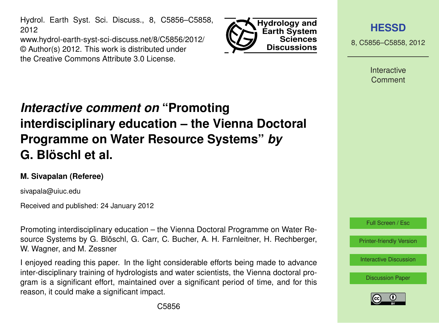Hydrol. Earth Syst. Sci. Discuss., 8, C5856–C5858, 2012

www.hydrol-earth-syst-sci-discuss.net/8/C5856/2012/ © Author(s) 2012. This work is distributed under the Creative Commons Attribute 3.0 License.



**[HESSD](http://www.hydrol-earth-syst-sci-discuss.net)**

8, C5856–C5858, 2012

**Interactive** Comment

## *Interactive comment on* **"Promoting interdisciplinary education – the Vienna Doctoral Programme on Water Resource Systems"** *by* **G. Blöschl et al.**

## **M. Sivapalan (Referee)**

sivapala@uiuc.edu

Received and published: 24 January 2012

Promoting interdisciplinary education – the Vienna Doctoral Programme on Water Resource Systems by G. Blöschl, G. Carr, C. Bucher, A. H. Farnleitner, H. Rechberger, W. Wagner, and M. Zessner

I enjoyed reading this paper. In the light considerable efforts being made to advance inter-disciplinary training of hydrologists and water scientists, the Vienna doctoral program is a significant effort, maintained over a significant period of time, and for this reason, it could make a significant impact.



[Printer-friendly Version](http://www.hydrol-earth-syst-sci-discuss.net/8/C5856/2012/hessd-8-C5856-2012-print.pdf)

[Interactive Discussion](http://www.hydrol-earth-syst-sci-discuss.net/8/9843/2011/hessd-8-9843-2011-discussion.html)

[Discussion Paper](http://www.hydrol-earth-syst-sci-discuss.net/8/9843/2011/hessd-8-9843-2011.pdf)

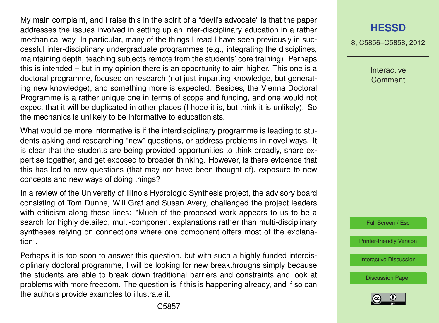My main complaint, and I raise this in the spirit of a "devil's advocate" is that the paper addresses the issues involved in setting up an inter-disciplinary education in a rather mechanical way. In particular, many of the things I read I have seen previously in successful inter-disciplinary undergraduate programmes (e.g., integrating the disciplines, maintaining depth, teaching subjects remote from the students' core training). Perhaps this is intended – but in my opinion there is an opportunity to aim higher. This one is a doctoral programme, focused on research (not just imparting knowledge, but generating new knowledge), and something more is expected. Besides, the Vienna Doctoral Programme is a rather unique one in terms of scope and funding, and one would not expect that it will be duplicated in other places (I hope it is, but think it is unlikely). So the mechanics is unlikely to be informative to educationists.

What would be more informative is if the interdisciplinary programme is leading to students asking and researching "new" questions, or address problems in novel ways. It is clear that the students are being provided opportunities to think broadly, share expertise together, and get exposed to broader thinking. However, is there evidence that this has led to new questions (that may not have been thought of), exposure to new concepts and new ways of doing things?

In a review of the University of Illinois Hydrologic Synthesis project, the advisory board consisting of Tom Dunne, Will Graf and Susan Avery, challenged the project leaders with criticism along these lines: "Much of the proposed work appears to us to be a search for highly detailed, multi-component explanations rather than multi-disciplinary syntheses relying on connections where one component offers most of the explanation".

Perhaps it is too soon to answer this question, but with such a highly funded interdisciplinary doctoral programme, I will be looking for new breakthroughs simply because the students are able to break down traditional barriers and constraints and look at problems with more freedom. The question is if this is happening already, and if so can the authors provide examples to illustrate it.

## **[HESSD](http://www.hydrol-earth-syst-sci-discuss.net)**

8, C5856–C5858, 2012

Interactive **Comment** 



[Printer-friendly Version](http://www.hydrol-earth-syst-sci-discuss.net/8/C5856/2012/hessd-8-C5856-2012-print.pdf)

[Interactive Discussion](http://www.hydrol-earth-syst-sci-discuss.net/8/9843/2011/hessd-8-9843-2011-discussion.html)

[Discussion Paper](http://www.hydrol-earth-syst-sci-discuss.net/8/9843/2011/hessd-8-9843-2011.pdf)